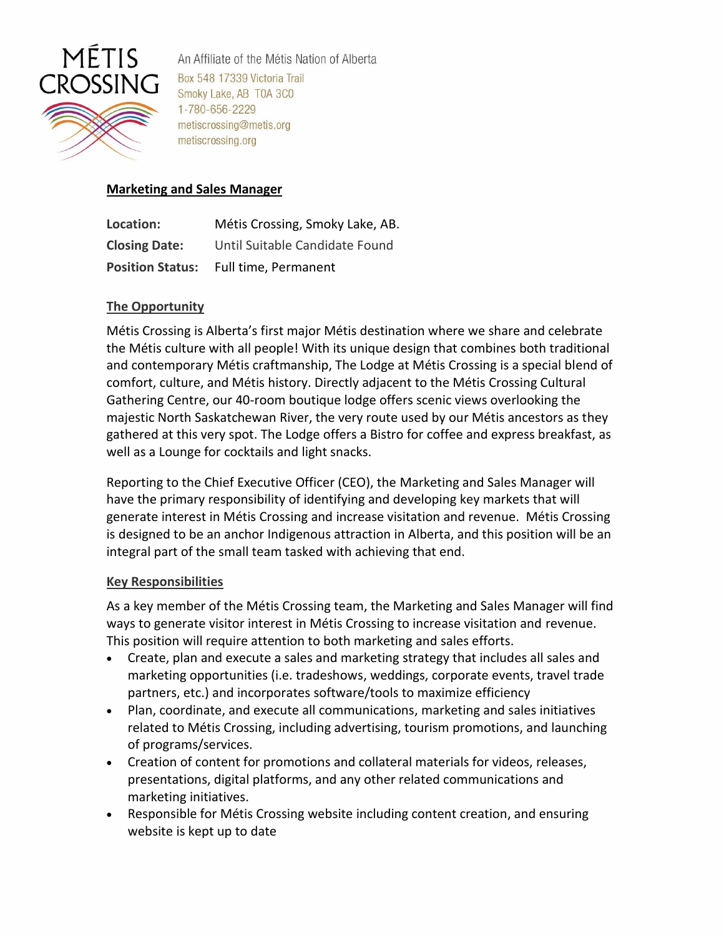

An Affiliate of the Métis Nation of Alberta Box 548 17339 Victoria Trail Smoky Lake, AB T0A 3C0 1-780-656-2229 metiscrossing@metis.org metiscrossing.org

## **Marketing and Sales Manager**

| Location:               | Métis Crossing, Smoky Lake, AB. |
|-------------------------|---------------------------------|
| <b>Closing Date:</b>    | Until Suitable Candidate Found  |
| <b>Position Status:</b> | Full time, Permanent            |

## **The Opportunity**

Métis Crossing is Alberta's first major Métis destination where we share and celebrate the Métis culture with all people! With its unique design that combines both traditional and contemporary Métis craftmanship, The Lodge at Métis Crossing is a special blend of comfort, culture, and Métis history. Directly adjacent to the Métis Crossing Cultural Gathering Centre, our 40-room boutique lodge offers scenic views overlooking the majestic North Saskatchewan River, the very route used by our Métis ancestors as they gathered at this very spot. The Lodge offers a Bistro for coffee and express breakfast, as well as a Lounge for cocktails and light snacks.

Reporting to the Chief Executive Officer (CEO), the Marketing and Sales Manager will have the primary responsibility of identifying and developing key markets that will generate interest in Métis Crossing and increase visitation and revenue. Métis Crossing is designed to be an anchor Indigenous attraction in Alberta, and this position will be an integral part of the small team tasked with achieving that end.

#### **Key Responsibilities**

As a key member of the Métis Crossing team, the Marketing and Sales Manager will find ways to generate visitor interest in Métis Crossing to increase visitation and revenue. This position will require attention to both marketing and sales efforts.

- Create, plan and execute a sales and marketing strategy that includes all sales and marketing opportunities (i.e. tradeshows, weddings, corporate events, travel trade partners, etc.) and incorporates software/tools to maximize efficiency
- Plan, coordinate, and execute all communications, marketing and sales initiatives related to Métis Crossing, including advertising, tourism promotions, and launching of programs/services.
- Creation of content for promotions and collateral materials for videos, releases, presentations, digital platforms, and any other related communications and marketing initiatives.
- Responsible for Métis Crossing website including content creation, and ensuring website is kept up to date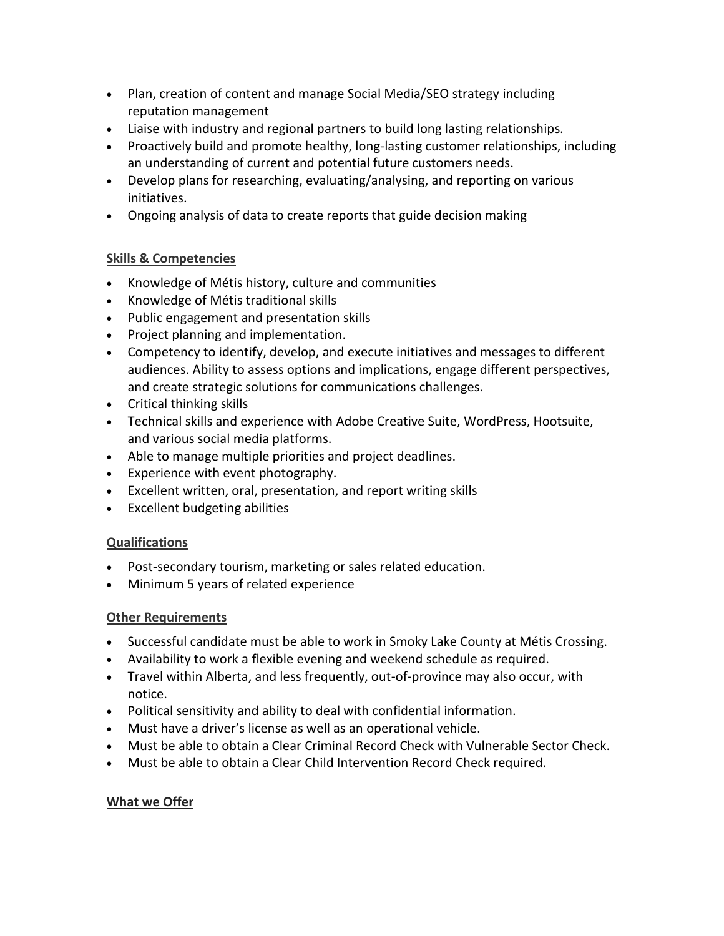- Plan, creation of content and manage Social Media/SEO strategy including reputation management
- Liaise with industry and regional partners to build long lasting relationships.
- Proactively build and promote healthy, long-lasting customer relationships, including an understanding of current and potential future customers needs.
- Develop plans for researching, evaluating/analysing, and reporting on various initiatives.
- Ongoing analysis of data to create reports that guide decision making

# **Skills & Competencies**

- Knowledge of Métis history, culture and communities
- Knowledge of Métis traditional skills
- Public engagement and presentation skills
- Project planning and implementation.
- Competency to identify, develop, and execute initiatives and messages to different audiences. Ability to assess options and implications, engage different perspectives, and create strategic solutions for communications challenges.
- Critical thinking skills
- Technical skills and experience with Adobe Creative Suite, WordPress, Hootsuite, and various social media platforms.
- Able to manage multiple priorities and project deadlines.
- Experience with event photography.
- Excellent written, oral, presentation, and report writing skills
- Excellent budgeting abilities

# **Qualifications**

- Post-secondary tourism, marketing or sales related education.
- Minimum 5 years of related experience

# **Other Requirements**

- Successful candidate must be able to work in Smoky Lake County at Métis Crossing.
- Availability to work a flexible evening and weekend schedule as required.
- Travel within Alberta, and less frequently, out-of-province may also occur, with notice.
- Political sensitivity and ability to deal with confidential information.
- Must have a driver's license as well as an operational vehicle.
- Must be able to obtain a Clear Criminal Record Check with Vulnerable Sector Check.
- Must be able to obtain a Clear Child Intervention Record Check required.

# **What we Offer**